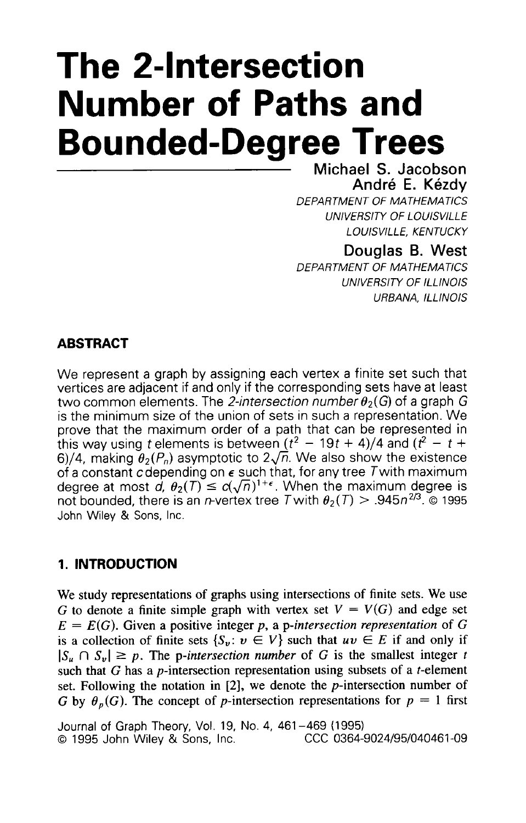# **The 2-Intersection Number of Paths and Bounded-Degree Trees**

**Michael S. Jacobson**  André E. Kézdv

*DEPARTMENT OF MATHEMATICS*  **UNIVERSITY OF LOUISVILLE** *LOUlSVlL L E, KENTUCKY* 

## **Douglas B. West**

*D €PA RTMENT OF MA THEMA TICS*  **UNIVERSITY OF ILLINOIS** *URBANA, ILLINOIS* 

## **ABSTRACT**

We represent a graph by assigning each vertex a finite set such that vertices are adjacent if and only if the corresponding sets have at least two common elements. The 2-intersection number  $\theta_2(G)$  of a graph G is the minimum size of the union of sets in such a representation. We prove that the maximum order of a path that can be represented in this way using t elements is between  $(t^2 - 19t + 4)/4$  and  $(t^2 - t +$ 6)/4, making  $\theta_2(P_n)$  asymptotic to  $2\sqrt{n}$ . We also show the existence of a constant cdepending on *E* such that, for any tree Twith maximum degree at most  $d$ ,  $\theta_2(T) \leq c(\sqrt{n})^{1+\epsilon}$ . When the maximum degree is not bounded, there is an *n*-vertex tree T with  $\theta_2(T) > .945n^{2/3}$ . © 1995 John Wiley & Sons, Inc.

## **1. INTRODUCTION**

We study representations of graphs using intersections of finite sets. We use G to denote a finite simple graph with vertex set  $V = V(G)$  and edge set  $E = E(G)$ . Given a positive integer p, a p-intersection representation of G is a collection of finite sets  $\{S_v : v \in V\}$  such that  $uv \in E$  if and only if  $|S_u \cap S_v| \geq p$ . The p-intersection number of G is the smallest integer *t* such that  $G$  has a *p*-intersection representation using subsets of a *t*-element set. Following the notation in  $[2]$ , we denote the *p*-intersection number of G by  $\theta_p(G)$ . The concept of p-intersection representations for  $p = 1$  first

Journal of Graph Theory, Vol. 19, No. 4, 461 -469 (1995) **0 1995 John Wiley & Sons, Inc.**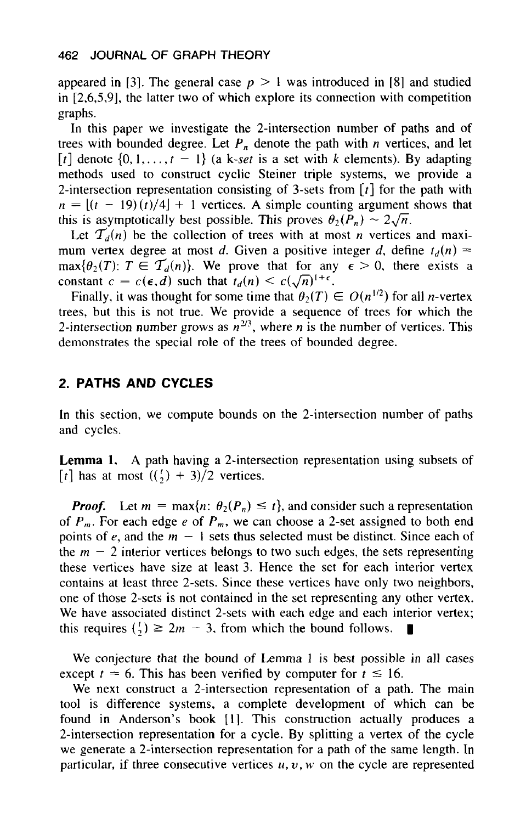appeared in [3]. The general case  $p > 1$  was introduced in [8] and studied in [2,6,5,9], the latter two of which explore its connection with competition graphs.

In this paper we investigate the 2-intersection number of paths and of trees with bounded degree. Let  $P_n$  denote the path with  $n$  vertices, and let  $\begin{bmatrix} t \end{bmatrix}$  denote  $\{0, 1, \ldots, t-1\}$  (a k-set is a set with *k* elements). By adapting methods used to construct cyclic Steiner triple systems, we provide a 2-intersection representation consisting of 3-sets from *[r]* for the path with  $n = [(t - 19)(t)/4] + 1$  vertices. A simple counting argument shows that this is asymptotically best possible. This proves  $\theta_2(P_n) \sim 2\sqrt{n}$ .

Let  $T_d(n)$  be the collection of trees with at most *n* vertices and maximum vertex degree at most *d*. Given a positive integer *d*, define  $t_d(n)$  =  $\max{\lbrace \theta_2(T) : T \in \mathcal{T}_d(n) \rbrace}$ . We prove that for any  $\epsilon > 0$ , there exists a constant  $c = c(\epsilon, d)$  such that  $t_d(n) \leq c(\sqrt{n})^{1+\epsilon}$ .

Finally, it was thought for some time that  $\theta_2(T) \in O(n^{1/2})$  for all *n*-vertex trees, but this **is** not true. We provide a sequence of trees **for** which the 2-intersection number grows as  $n^{2/3}$ , where *n* is the number of vertices. This demonstrates the special role **of** the trees of bounded degree.

#### **2. PATHS AND CYCLES**

In this section, we compute bounds on the 2-intersection number of paths and cycles.

Lemma 1. A path having a 2-intersection representation using subsets of [t] has at most  $((\frac{1}{2}) + 3)/2$  vertices.

*Proof.* Let  $m = \max\{n: \theta_2(P_n) \leq t\}$ , and consider such a representation of  $P_m$ . For each edge e of  $P_m$ , we can choose a 2-set assigned to both end points of  $e$ , and the  $m - 1$  sets thus selected must be distinct. Since each of the  $m - 2$  interior vertices belongs to two such edges, the sets representing these vertices have size at least 3. Hence the set for each interior vertex contains at least three 2-sets. Since these vertices have only two neighbors, one of those 2-sets **is** not contained in the set representing any other vertex. We have associated distinct 2-sets with each edge and each interior vertex; this requires  $\binom{t}{2} \geq 2m - 3$ , from which the bound follows.

We conjecture that the bound of Lemma 1 **is** best possible in all cases except  $t = 6$ . This has been verified by computer for  $t \le 16$ .

We next construct a 2-intersection representation of a path. The main tool is difference systems, a complete development of which can be found in Anderson's book [1]. This construction actually produces a 2-intersection representation for a cycle. By splitting a vertex of the cycle we generate a 2-intersection representation for a path of the same length. In particular, if three consecutive vertices  $u, v, w$  on the cycle are represented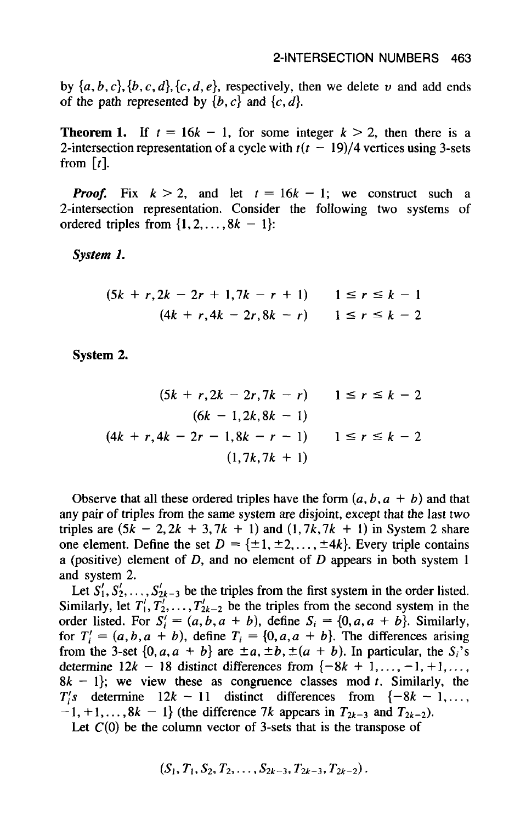by  $\{a, b, c\}, \{b, c, d\}, \{c, d, e\}$ , respectively, then we delete *v* and add ends of the path represented by  $\{b, c\}$  and  $\{c, d\}$ .

**Theorem 1.** If  $t = 16k - 1$ , for some integer  $k > 2$ , then there is a 2-intersection representation of a cycle with  $t(t - 19)/4$  vertices using 3-sets from  $[t]$ .

*Proof.* Fix  $k > 2$ , and let  $t = 16k - 1$ ; we construct such a 2-intersection representation. Consider the following two systems of ordered triples from  $\{1, 2, \ldots, 8k - 1\}$ :

*System 1.* 

n 1.  
\n
$$
(5k + r, 2k - 2r + 1, 7k - r + 1) \qquad 1 \le r \le k - 1
$$
\n
$$
(4k + r, 4k - 2r, 8k - r) \qquad 1 \le r \le k - 2
$$

**System 2.** 

m 2.  
\n
$$
(5k + r, 2k - 2r, 7k - r) \qquad 1 \le r \le k - 2
$$
\n
$$
(6k - 1, 2k, 8k - 1)
$$
\n
$$
(4k + r, 4k - 2r - 1, 8k - r - 1) \qquad 1 \le r \le k - 2
$$
\n
$$
(1, 7k, 7k + 1)
$$

Observe that all these ordered triples have the form  $(a, b, a + b)$  and that any pair of triples from the same system are disjoint, except that the last two triples are  $(5k - 2, 2k + 3, 7k + 1)$  and  $(1, 7k, 7k + 1)$  in System 2 share one element. Define the set  $D = \{\pm 1, \pm 2, \ldots, \pm 4k\}$ . Every triple contains a (positive) element of *D,* and no element of D appears in both system 1 and system 2.

Let  $S'_1, S'_2, \ldots, S'_{2k-3}$  be the triples from the first system in the order listed. Similarly, let  $T_1', T_2', \ldots, T_{2k-2}'$  be the triples from the second system in the order listed. For  $S_i' = (a, b, a + b)$ , define  $S_i = \{0, a, a + b\}$ . Similarly, for  $T_i' = (a, b, a + b)$ , define  $T_i = \{0, a, a + b\}$ . The differences arising from the 3-set  $\{0, a, a + b\}$  are  $\pm a, \pm b, \pm(a + b)$ . In particular, the  $S_i$ 's determine  $12k - 18$  distinct differences from  $\{-8k + 1, \ldots, -1, +1, \ldots\}$  $8k - 1$ ; we view these as congruence classes mod t. Similarly, the  $T_i$ 's determine  $12k - 11$  distinct differences from  $\{-8k - 1, \ldots,$  $-1, +1,..., 8k - 1$  (the difference 7k appears in  $T_{2k-3}$  and  $T_{2k-2}$ ).

Let  $C(0)$  be the column vector of 3-sets that is the transpose of

$$
(S_1, T_1, S_2, T_2, \ldots, S_{2k-3}, T_{2k-3}, T_{2k-2}).
$$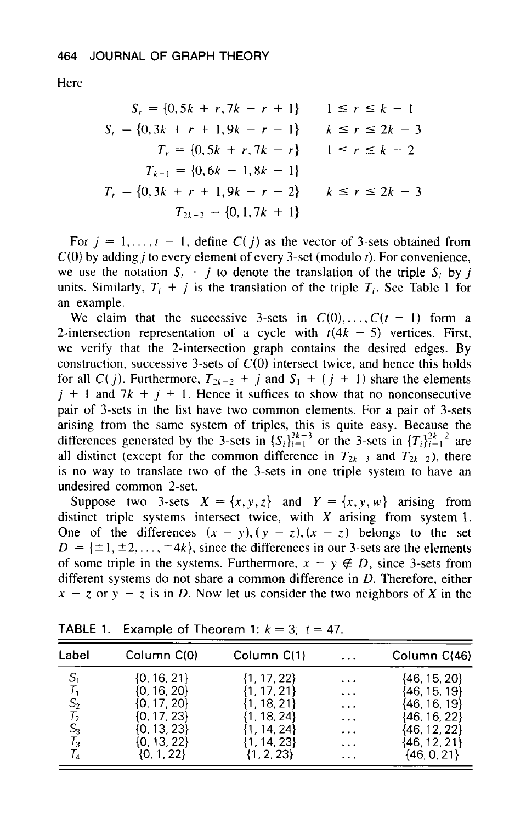**Here** 

$$
S_r = \{0, 5k + r, 7k - r + 1\} \qquad 1 \le r \le k - 1
$$
  
\n
$$
S_r = \{0, 3k + r + 1, 9k - r - 1\} \qquad k \le r \le 2k - 3
$$
  
\n
$$
T_r = \{0, 5k + r, 7k - r\} \qquad 1 \le r \le k - 2
$$
  
\n
$$
T_{k-1} = \{0, 6k - 1, 8k - 1\}
$$
  
\n
$$
T_r = \{0, 3k + r + 1, 9k - r - 2\} \qquad k \le r \le 2k - 3
$$
  
\n
$$
T_{2k-2} = \{0, 1, 7k + 1\}
$$

For  $j = 1, \ldots, t - 1$ , define  $C(j)$  as the vector of 3-sets obtained from C(0) by adding *j* to every element of every 3-set (modulo *t).* For convenience, we use the notation  $S_i + j$  to denote the translation of the triple  $S_i$  by j units. Similarly,  $T_i + j$  is the translation of the triple  $T_i$ . See Table 1 for an example.

We claim that the successive 3-sets in  $C(0), \ldots, C(t-1)$  form a 2-intersection representation of a cycle with  $t(4k - 5)$  vertices. First, we verify that the 2-intersection graph contains the desired edges. By construction, successive 3-sets of  $C(0)$  intersect twice, and hence this holds for all *C( j)*. Furthermore,  $T_{2k-2}$  + *j* and  $S_1$  + ( *j* + 1) share the elements  $j + 1$  and  $7k + j + 1$ . Hence it suffices to show that no nonconsecutive pair of 3-sets in the list have two common elements. For a pair of 3-sets arising from the same system of triples, this is quite easy. Because the differences generated by the 3-sets in  ${S_i}_{i=1}^{2k-3}$  or the 3-sets in  ${T_i}_{i=1}^{2k-2}$  are all distinct (except for the common difference in  $T_{2k-3}$  and  $T_{2k-2}$ ), there is no way to translate two of the 3-sets in one triple system to have an undesired common 2-set.

Suppose two 3-sets  $X = \{x, y, z\}$  and  $Y = \{x, y, w\}$  arising from distinct triple systems intersect twice, with *X* arising from system 1. One of the differences  $(x - y)$ ,  $(y - z)$ ,  $(x - z)$  belongs to the set  $D = {\pm 1, \pm 2, \ldots, \pm 4k}$ , since the differences in our 3-sets are the elements of some triple in the systems. Furthermore,  $x - y \notin D$ , since 3-sets from different systems do not share a common difference in *D.* Therefore, either  $x - z$  or  $y - z$  is in D. Now let us consider the two neighbors of X in the

| Label           | Column C(0)     | Column C(1)    | $\cdots$                | Column C(46)     |
|-----------------|-----------------|----------------|-------------------------|------------------|
| S,              | $\{0, 16, 21\}$ | 1, 17, 22}     | $\cdots$                | {46, 15, 20}     |
| Т,              | (0, 16, 20}     | .17.21         | $\cdots$                | $\{46, 15, 19\}$ |
| S <sub>2</sub>  | (0, 17, 20)     | . 18. 211      | $\cdots$                | {46, 16, 19}     |
| T <sub>2</sub>  | (0, 17, 23)     | l. 18. 24}     | $\cdots$                | {46, 16, 22}     |
| $\mathcal{S}_3$ | [0, 13, 23]     | 14.24}         | $\cdot$ $\cdot$ $\cdot$ | {46, 12, 22}     |
| $\mathcal{T}_3$ | $\{0, 13, 22\}$ | 1, 14, 23}     | $\cdots$                | {46, 12, 21}     |
| T,              | {0, 1, 22}      | $\{1, 2, 23\}$ | $\cdots$                | {46, 0, 21}      |

**TABLE 1.** Example of Theorem 1:  $k = 3$ ;  $t = 47$ .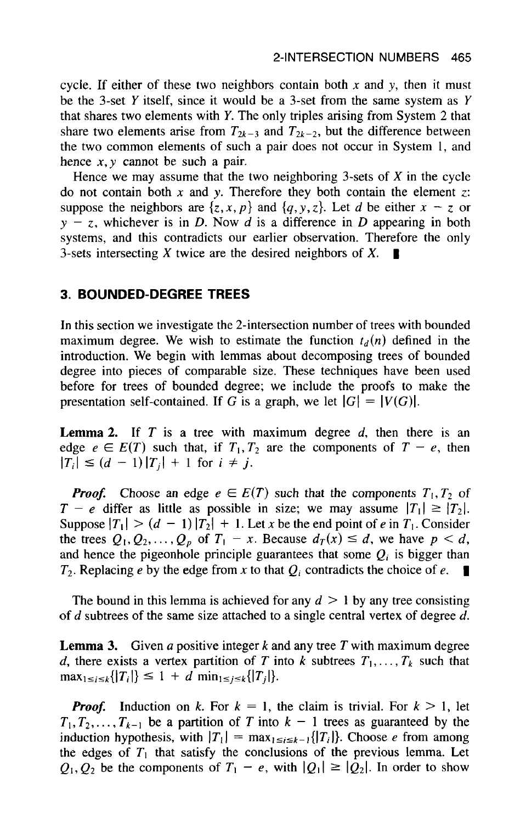cycle. If either of these two neighbors contain both  $x$  and  $y$ , then it must be the 3-set *Y* itself, since it would be a 3-set from the same system as *Y*  that shares two elements with *Y.* The only triples arising from System 2 that share two elements arise from  $T_{2k-3}$  and  $T_{2k-2}$ , but the difference between the two common elements of such a pair does not occur in System 1, and hence *x,y* cannot be such a pair.

Hence we may assume that the two neighboring 3-sets of  $X$  in the cycle do not contain both *x* and *y.* Therefore they both contain the element *z:*  suppose the neighbors are  $\{z, x, p\}$  and  $\{q, y, z\}$ . Let *d* be either  $x - z$  or  $y - z$ , whichever is in *D*. Now *d* is a difference in *D* appearing in both systems, and this contradicts our earlier observation. Therefore the only 3-sets intersecting X twice are the desired neighbors of  $X$ .

## **3. BOUNDED-DEGREE TREES**

In this section we investigate the 2-intersection number of trees with bounded maximum degree. We wish to estimate the function  $t_d(n)$  defined in the introduction. We begin with lemmas about decomposing trees of bounded degree into pieces of comparable size. These techniques have been used before for trees of bounded degree; we include the proofs to make the presentation self-contained. If G is a graph, we let  $|G| = |V(G)|$ .

**Lemma 2.** If T is a tree with maximum degree d, then there is an edge  $e \in E(T)$  such that, if  $T_1, T_2$  are the components of  $T - e$ , then  $|T_i| \leq (d - 1)|T_i| + 1$  for  $i \neq j$ .

*Proof.* Choose an edge  $e \in E(T)$  such that the components  $T_1, T_2$  of  $T - e$  differ as little as possible in size; we may assume  $|T_1| \ge |T_2|$ . Suppose  $|T_1| > (d - 1) |T_2| + 1$ . Let *x* be the end point of *e* in  $T_1$ . Consider the trees  $Q_1, Q_2, \ldots, Q_p$  of  $T_1 - x$ . Because  $d_T(x) \leq d$ , we have  $p < d$ , and hence the pigeonhole principle guarantees that some  $Q_i$  is bigger than  $T_2$ . Replacing *e* by the edge from *x* to that  $Q_i$  contradicts the choice of *e*.

The bound in this lemma is achieved for any  $d > 1$  by any tree consisting of d subtrees of the same size attached to a single central vertex of degree *d.* 

**Lemma 3.** Given *a* positive integer  $k$  and any tree  $T$  with maximum degree *d*, there exists a vertex partition of *T* into *k* subtrees  $T_1, \ldots, T_k$  such that  $\max_{1 \leq i \leq k} {\vert T_i \vert} \leq 1 + d \min_{1 \leq j \leq k} {\vert T_i \vert}.$ 

*Proof.* Induction on *k*. For  $k = 1$ , the claim is trivial. For  $k > 1$ , let  $T_1, T_2, \ldots, T_{k-1}$  be a partition of T into  $k - 1$  trees as guaranteed by the induction hypothesis, with  $|T_1| = \max_{1 \le i \le k-1} \{|T_i|\}$ . Choose e from among the edges of  $T_1$  that satisfy the conclusions of the previous lemma. Let  $Q_1, Q_2$  be the components of  $T_1 - e$ , with  $|Q_1| \ge |Q_2|$ . In order to show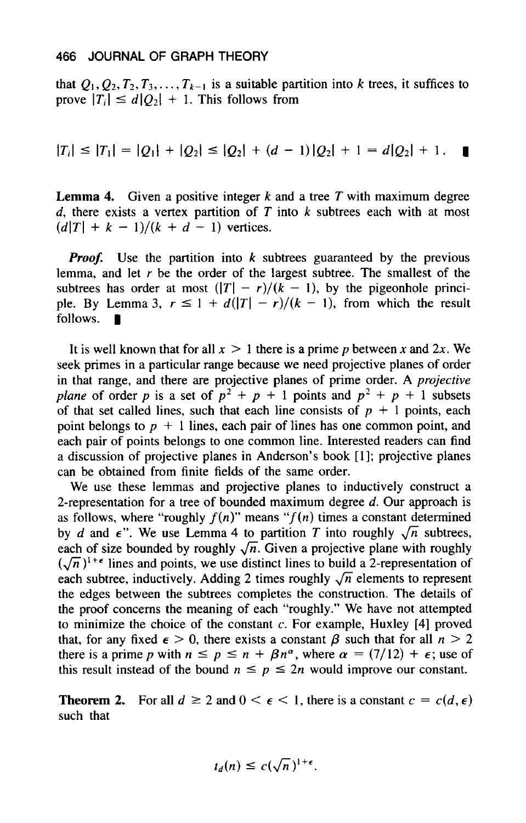that  $Q_1, Q_2, T_2, T_3, \ldots, T_{k-1}$  is a suitable partition into k trees, it suffices to prove  $|T_i| \leq d|Q_2| + 1$ . This follows from

$$
|T_i| \leq |T_1| = |Q_1| + |Q_2| \leq |Q_2| + (d-1)|Q_2| + 1 = d|Q_2| + 1.
$$

**Lemma 4.** Given a positive integer  $k$  and a tree  $T$  with maximum degree *d,* there exists a vertex partition of **T** into *k* subtrees each with at most  $(d|T| + k - 1)/(k + d - 1)$  vertices.

*Proof.* Use the partition into *k* subtrees guaranteed by the previous lemma, and let *r* be the order of the largest subtree. The smallest of the subtrees has order at most  $(|T| - r)/(k - 1)$ , by the pigeonhole princisubtrees has order at most  $(|T| - r)/(k - 1)$ , by the pigeonhole principle. By Lemma 3,  $r \leq 1 + d(|T| - r)/(k - 1)$ , from which the result follows.

It is well known that for all  $x > 1$  there is a prime p between x and  $2x$ . We seek primes in a particular range because we need projective planes of order in that range, and there are projective planes of prime order. A projective plane of order *p* is a set of  $p^2 + p + 1$  points and  $p^2 + p + 1$  subsets of that set called lines, such that each line consists of  $p + 1$  points, each point belongs to  $p + 1$  lines, each pair of lines has one common point, and each pair of points belongs to one common line. Interested readers can find a discussion of projective planes in Anderson's book [ **11;** projective planes can be obtained from finite fields of the same order.

We use these lemmas and projective planes to inductively construct a 2-representation for a tree of bounded maximum degree  $d$ . Our approach is as follows, where "roughly  $f(n)$ " means " $f(n)$  times a constant determined by *d* and  $\epsilon$ ". We use Lemma 4 to partition *T* into roughly  $\sqrt{n}$  subtrees, each of size bounded by roughly  $\sqrt{n}$ . Given a projective plane with roughly  $(\sqrt{n})^{1+\epsilon}$  lines and points, we use distinct lines to build a 2-representation of each subtree, inductively. Adding 2 times roughly  $\sqrt{n}$  elements to represent the edges between the subtrees completes the construction. The details of the proof concerns the meaning of each "roughly." We have not attempted to minimize the choice of the constant c. For example, Huxley **[4]** proved that, for any fixed  $\epsilon > 0$ , there exists a constant  $\beta$  such that for all  $n > 2$ there is a prime p with  $n \leq p \leq n + \beta n^{\alpha}$ , where  $\alpha = (7/12) + \epsilon$ ; use of this result instead of the bound  $n \leq p \leq 2n$  would improve our constant.

**Theorem 2.** For all  $d \ge 2$  and  $0 \le \epsilon \le 1$ , there is a constant  $c = c(d, \epsilon)$ such that

$$
t_d(n) \leq c(\sqrt{n})^{1+\epsilon}.
$$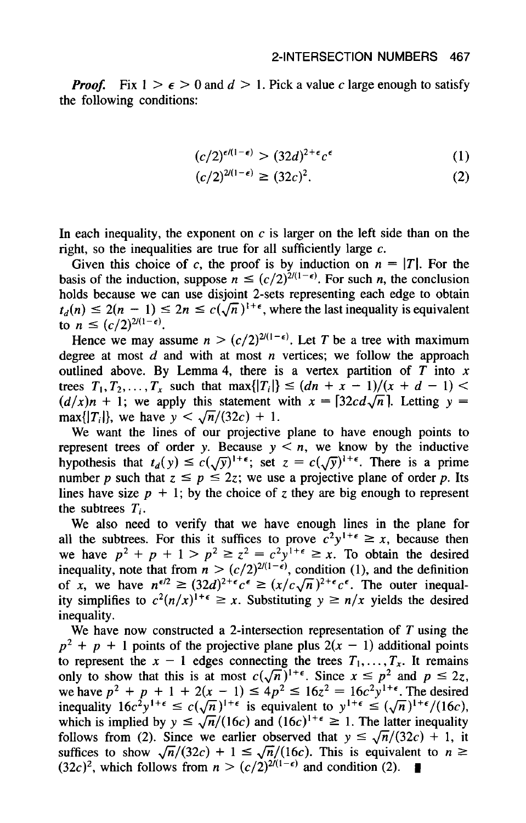*Proof.* Fix  $1 > \epsilon > 0$  and  $d > 1$ . Pick a value c large enough to satisfy the following conditions:

$$
(c/2)^{\epsilon/(1-\epsilon)} > (32d)^{2+\epsilon}c^{\epsilon} \tag{1}
$$

$$
(c/2)^{2(1-\epsilon)} \ge (32c)^2. \tag{2}
$$

In each inequality, the exponent on  $c$  is larger on the left side than on the right, so the inequalities are true for all sufficiently large **c.** 

Given this choice of c, the proof is by induction on  $n = |T|$ . For the basis of the induction, suppose  $n \leq (c/2)^{2/(1-\epsilon)}$ . For such *n*, the conclusion holds because we can use disjoint 2-sets representing each edge to obtain  $t_d(n) \leq 2(n - 1) \leq 2n \leq c(\sqrt{n})^{1+\epsilon}$ , where the last inequality is equivalent to  $n \le (c/2)^{2/(1-\epsilon)}$ .

Hence we may assume  $n > (c/2)^{2/(1-\epsilon)}$ . Let T be a tree with maximum degree at most d and with at most *n* vertices; we follow the approach outlined above. By Lemma 4, there is a vertex partition of  $\overrightarrow{T}$  into  $\overrightarrow{x}$ trees  $T_1, T_2, ..., T_x$  such that max $\{|T_i|\} \leq (dn + x - 1)/(x + d - 1)$  $(d/x)n + 1$ ; we apply this statement with  $x = \lfloor 32cd\sqrt{n} \rfloor$ . Letting  $y =$ max $\{|T_i|\}$ , we have  $y < \sqrt{n}/(32c) + 1$ .

We want the lines of our projective plane to have enough points to represent trees of order y. Because  $y < n$ , we know by the inductive hypothesis that  $t_d(y) \leq c(\sqrt{y})^{1+\epsilon}$ ; set  $z = c(\sqrt{y})^{1+\epsilon}$ . There is a prime number *p* such that  $z \leq p \leq 2z$ ; we use a projective plane of order *p*. Its lines have size  $p + 1$ ; by the choice of z they are big enough to represent the subtrees *Ti.* 

We also need to verify that we have enough lines in the plane for all the subtrees. For this it suffices to prove  $c^2y^{1+\epsilon} \ge x$ , because then we have  $p^2 + p + 1 > p^2 \ge z^2 = c^2 y^{1+\epsilon} \ge x$ . To obtain the desired inequality, note that from  $n > (c/2)^{2/(1-\epsilon)}$ , condition (1), and the definition of *x*, we have  $n^{\epsilon/2} \geq (32d)^{2+\epsilon}c^{\epsilon} \geq (x/c\sqrt{n})^{2+\epsilon}c^{\epsilon}$ . The outer inequality simplifies to  $c^2(n/x)^{1+\epsilon} \ge x$ . Substituting  $y \ge n/x$  yields the desired inequality.

We have now constructed a 2-intersection representation of  $T$  using the  $p^2 + p + 1$  points of the projective plane plus  $2(x - 1)$  additional points to represent the  $x - 1$  edges connecting the trees  $T_1, \ldots, T_x$ . It remains we nave now constructed a 2-intersection representation of 1 using the<br>  $p^2 + p + 1$  points of the projective plane plus  $2(x - 1)$  additional points<br>
to represent the  $x - 1$  edges connecting the trees  $T_1, ..., T_x$ . It remains<br>  $p^2 + p + 1$  points of the projective plane plus  $2(x - 1)$  additional points<br>to represent the  $x - 1$  edges connecting the trees  $T_1, ..., T_x$ . It remains<br>only to show that this is at most  $c(\sqrt{n})^{1+\epsilon}$ . Since  $x \le p^2$  and  $p \le 2z$ for represent the  $x - 1$  edges connecting the trees  $I_1, \ldots, I_x$ . It remainly to show that this is at most  $c(\sqrt{n})^{1+\epsilon}$ . Since  $x \leq p^2$  and  $p \leq$  we have  $p^2 + p + 1 + 2(x - 1) \leq 4p^2 \leq 16z^2 = 16c^2y^{1+\epsilon}$ . The desimential which is implied by  $y \le \sqrt{n}/(16c)$  and  $(16c)^{1+\epsilon} \ge 1$ . The latter inequality follows from (2). Since we earlier observed that  $y \le \sqrt{n}/(32c) + 1$ , it suffices to show  $\sqrt{n}/(32c) + 1 \le \sqrt{n}/(16c)$ . This is equivalent to  $n \ge$ suffices to show  $\sqrt{n}/(32c) + 1 \le \sqrt{n}/(16c)$ . This is equivalent to  $(32c)^2$ , which follows from  $n > (c/2)^{2/(1-\epsilon)}$  and condition (2).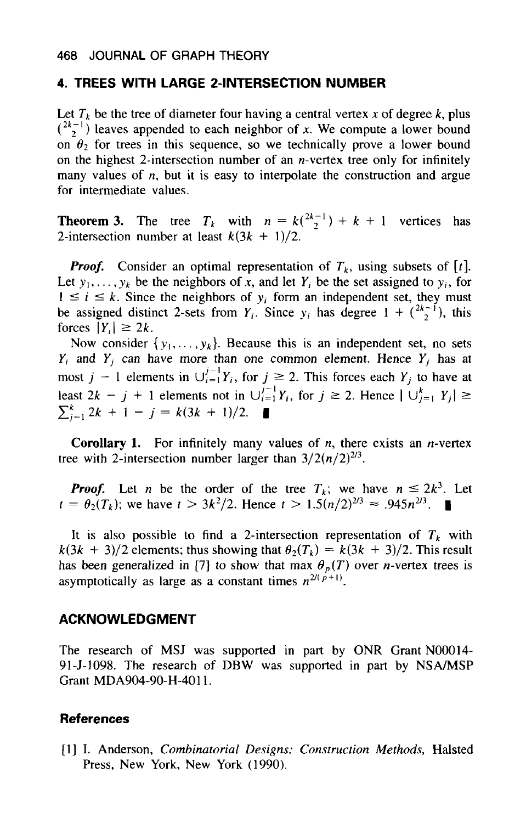#### **4. TREES WITH LARGE 2-INTERSECTION NUMBER**

Let  $T_k$  be the tree of diameter four having a central vertex x of degree  $k$ , plus  $\binom{2k-1}{2}$  leaves appended to each neighbor of *x*. We compute a lower bound on  $\theta_2$  for trees in this sequence, so we technically prove a lower bound on the highest 2-intersection number of an  $n$ -vertex tree only for infinitely many values of *n*, but it is easy to interpolate the construction and argue for intermediate values.

**Theorem 3.** The tree  $T_k$  with  $n = k\binom{2k-1}{2} + k + 1$  vertices has 2-intersection number at least  $k(3k + 1)/2$ .

*Proof.* Consider an optimal representation of  $T_k$ , using subsets of [t]. Let  $y_1, \ldots, y_k$  be the neighbors of x, and let Y<sub>i</sub> be the set assigned to  $y_i$ , for **Proof.** Consider an optimal representation of  $T_k$ , using subsets of [t].<br>Let  $y_1, \ldots, y_k$  be the neighbors of x, and let  $Y_i$  be the set assigned to  $y_i$ , for  $1 \le i \le k$ . Since the neighbors of  $y_i$  form an independent s forces  $|Y_i| \geq 2k$ .

Now consider  $\{y_1, \ldots, y_k\}$ . Because this is an independent set, no sets  $Y_i$  and  $Y_j$  can have more than one common element. Hence  $Y_j$  has at  $T_i$  and  $T_j$  can have more than one common element. Hence  $T_j$  has at most  $j - 1$  elements in  $\bigcup_{i=1}^{j-1} Y_i$ , for  $j \ge 2$ . This forces each  $Y_j$  to have at least  $2k - j + 1$  elements not in  $\bigcup_{i=1}^{j-1} Y_i$ , for  $j \ge 2$ . Hence  $|\bigcup_{j=1}^{k} Y_j| \ge \sum_{j=1}^{k} 2k + 1 - j = k(3k + 1)/2$ . **/-I**  *k*   $\sum_{i=1}^{k} 2k + 1 - j = k(3k + 1)/2.$ 

**Corollary 1.** For infinitely many values of *n,* there exists an n-vertex tree with 2-intersection number larger than  $3/2(n/2)^{2/3}$ .

*Proof.* Let *n* be the order of the tree  $T_k$ ; we have  $n \leq 2k^3$ . Let  $t = \theta_2(T_k)$ ; we have  $t > 3k^2/2$ . Hence  $t > 1.5(n/2)^{2/3} \approx .945n^{2/3}$ .

It is also possible to find a 2-intersection representation of  $T_k$  with  $k(3k + 3)/2$  elements; thus showing that  $\theta_2(T_k) = k(3k + 3)/2$ . This result has been generalized in [7] to show that max  $\theta_p(T)$  over *n*-vertex trees is asymptotically as large as a constant times  $n^{2/(p+1)}$ .

#### **ACKNOWLEDGMENT**

The research of **MSJ** was supported in part by ONR Grant **NOOO14- 91-5-1098.** The research of **DBW** was supported in **part** by NSA/MSP Grant **MDA904-90-H-4011.** 

#### **References**

[ **11** I. Anderson, *Combinatorial Designs: Construction Methods,* Halsted Press, New York, New York **(1990).**